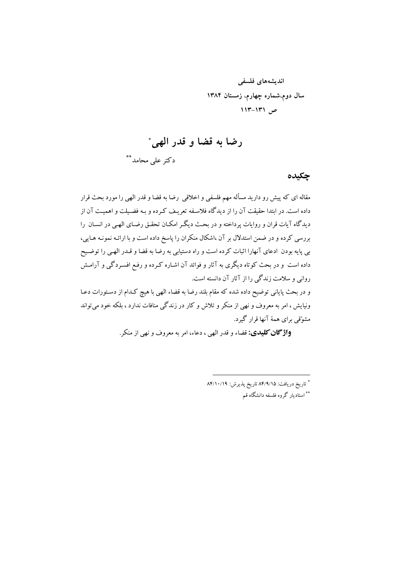اندیشەهای فلسفی سال دوم،شماره چهارم، زمستان ۱۳۸۴  $111 - 111$ 

رضا به قضا و قدر الهي\*

دکتر علی محامد \*\*

چکىدە

مقاله ای که پیش رو دارید مسأله مهم فلسفی و اخلاقی رضا به قضا و قدر الهی را مورد بحث قرار داده است. در ابتدا حقیقت آن را از دیدگاه فلاسفه تعریف کرده و بـه فضیلت و اهمیـت آن از دیدگاه آیات قران و روایات پرداخته و در بحث دیگر امکـان تحقـق رضـای الهـی در انسـان را بررسی کرده و در ضمن استدلال بر آن ،اشکال منکران را پاسخ داده است و با ارائـه نمونـه هـايبي، بی پایه بودن ادعای آنهارا اثبات کرده است و راه دستیابی به رضا به قضا و قـدر الهـی را توضـیح داده است و در بحث کوتاه دیگری به آثار و فوائد آن اشـاره کـرده و رفـع افسـردگی و آرامـش روانی و سلامت زندگی را از آثار آن دانسته است.

و در بحث پایانی توضیح داده شده که مقام بلند رضا به قضاء الهی با هیچ کـدام از دسـتورات دعـا ونیایش ، امر به معروف و نهی از منکر و تلاش و کار در زندگی منافات ندارد ، بلکه خود می تواند مشوِّقی برای همهٔ آنها قرار گیرد.

**واژگان کلیدی:** قضاء و قدر الهی ، دعاء، امر به معروف و نهی از منکر.

\* تاريخ دريافت: ٨۴/٩/١۵ تاريخ پذيرش: ٨۴/١٠/١٩ \*\* استادیار گروه فلسفه دانشگاه قم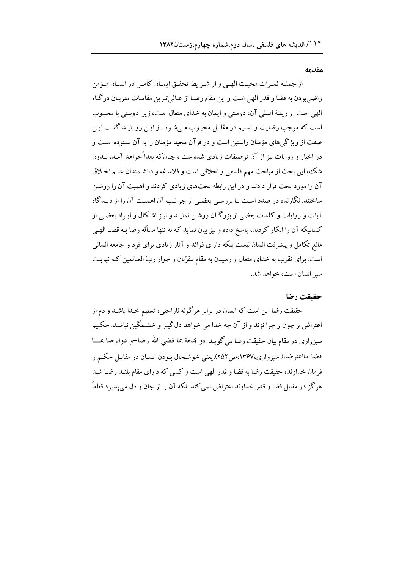#### مقدمه

از جملـه ثمـرات محبـت الهـى و از شـرايط تحقـق ايمـان كامـل در انسـان مـؤمن راضیبودن به قضا و قدر الهی است و این مقام رضـا از عـالی تـرین مقامـات مقربـان درگـاه الهی است و ریشهٔ اصلی آن، دوستی و ایمان به خدای متعال است، زیرا دوستی با محبـوب است که موجب رضایت و تسلیم در مقابـل محبـوب مـیشـود .از ایـن رو بایـد گفـت ایـن صفت از ویژگیهای مؤمنان راستین است و در قرآن مجید مؤمنان را به آن سـتوده اسـت و در اخبار و روایات نیز از آن توصیفات زیادی شدهاست ، چنان که بعداً خواهد آمـد، بـدون شك، اين بحث از مباحث مهم فلسفي و اخلاقي است و فلاسـفه و دانشـمندان علـم اخـلاق آن را مورد بحث قرار دادند و در این رابطه بحثهای زیادی کردند و اهمیت آن را روشن ساختند. نگارنده در صدد است با بررسبی بعضبی از جوانب آن اهمیت آن را از دیـدگاه آیات و روایات و کلمات بعضی از بزرگیان روشن نمایید و نیـز اشکال و ایـراد بعضبی از كسانيكه آن را انكار كردند، پاسخ داده و نيز بيان نمايد كه نه تنها مسأله رضا بـه قضـا الهـي مانع تکامل و پیشرفت انسان نیست بلکه دارای فوائد و آثار زیادی برای فرد و جامعه انسانی است. برای تقرب به خدای متعال و رسیدن به مقام مقرّبان و جوار ربّ العـالمین کـه نهایـت سير انسان است، خواهد شد.

#### حقىقت رضا

حقیقت رضا این است که انسان در برابر هرگونه ناراحتی، تسلیم خـدا باشـد و دم از اعتراض و چون و چرا نزند و از آن چه خدا می خواهد دل گیـر و خشـمگین نباشـد. حکـیم سبزواري در مقام بيان حقيقت رضا مي گويـد :«و بمجة بما قضي الله رضا–و ذوالرضا بمـــا قضا مااعترضا»( سبزواري،۱۳۶۷،ص ۲۵۲).يعني خوشـحال بـودن انسـان در مقابـل حكـم و فرمان خداوند، حقیقت رضا به قضا و قدر الهی است و کسی که دارای مقام بلنـد رضـا شـد هر گز در مقابل قضا و قدر خداوند اعتراض نمي كند بلكه آن را از جان و دل مي پذير د.قطعاً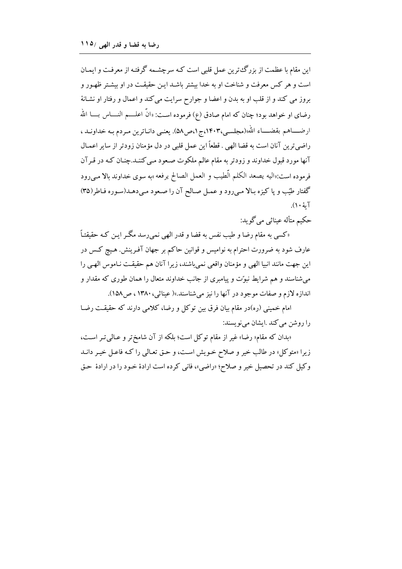این مقام با عظمت از بزرگءترین عمل قلبی است کـه سرچشـمه گرفتـه از معرفـت و ایمـان است و هر کس معرفت و شناخت او به خدا بیشتر باشد ایـن حقیقـت در او بیشـتر ظهـور و بروز می کند و از قلب او به بدن و اعضا و جوارح سرایت می کند و اعمال و رفتار او نشانهٔ رضای او خواهد بود؛ چنان که امام صادق (ع) فرموده است: «انَّ اعلــــم النـــــاس بـــــا الله ارضــــاهم بقضــــاء الله»(مجلسـي،١۴٠٣،ج١ص٥٨). يعنــي دانــاترين مــردم بــه خداونــد ، راضي ترين آنان است به قضا الهي . قطعاً اين عمل قلبي در دل مؤمنان زودتر از ساير اعمـال آنها مورد قبول خداوند و زودتر به مقام عالم ملکوت صعود مـي کننـد.چنـان کـه در قـرآن فرموده است:«اليه يصعد الكلم الّطيب و العمل الصالح يرفعه»به سوى خداوند بالا مـي رود گفتار طیّب و یا کیزه بـالا مـیرود و عمـل صـالح آن را صـعود مـیدهـد(سـوره فـاطر(۳۵) آيۂ ۱۰).

حکيم متأله عيناثي مي گويد:

«کسی به مقام رضا و طیب نفس به قضا و قدر الهی نمی٫سد مگـر ایـن کـه حقیقتـاً عارف شود به ضرورت احترام به نوامیس و قوانین حاکم بر جهان آفـرینش. هـیچ کـس در این جهت مانند انبیا الهی و مؤمنان واقعی نمیباشند، زیرا آنان هم حقیقـت نـاموس الهـی را می شناسند و هم شرایط نبوّت و پیامبری از جانب خداوند متعال را همان طوری که مقدار و اندازه لازم و صفات موجود در آنها را نیز می شناسند.»( عیناثی، ۱۳۸۰ ، ص ۱۵۸).

امام خمینی (ره)در مقام بیان فرق بین توکل و رضا، کلامی دارند که حقیقـت رضـا را روشن می کند .ایشان می نویسند:

«بدان که مقام« رضا» غیر از مقام توکل است؛ بلکه از آن شامختر و عـالی تـر اسـت، زیرا «متوکل» در طالب خیر و صلاح خـویش اسـت، و حـق تعـالی را کـه فاعـل خیـر دانـد وكيل كند در تحصيل خير و صلاح؛ «راضي»، فاني كرده است ارادهٔ خـود را در ارادهٔ حـق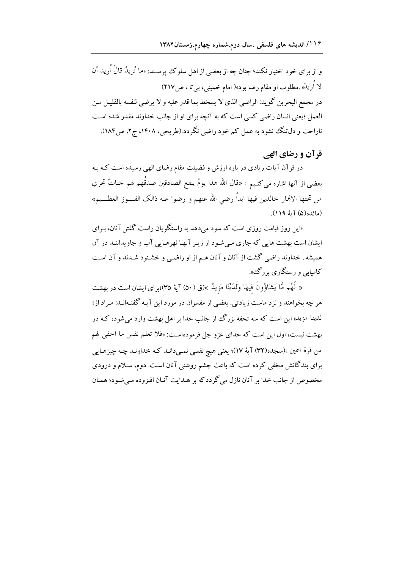و از برای خود اختیار نکند؛ چنان چه از بعضی از اهل سلوک پرسـند: «ما تُریدُ قالَ اُرید أن لا اُريكَ» .مطلوب او مقام رضا بود»( امام خميني، بي تا ، ص١٧) در مجمع البحرين گويد: الراضي الذي لا يسخط بما قدر عليه و لا يرضى لنفسه بالقليـل مـن العمل ؛یعنی انسان راضی کسی است که به آنچه برای او از جانب خداوند مقدر شده است ناراحت و دل تنگ نشود به عمل کم خود راضی نگردد.(طریحی، ۱۴۰۸، ج۲، ص۱۸۴).

# قر آن و رضاي الهي

در قرآن آیات زیادی در باره ارزش و فضیلت مقام رضای الهی رسیده است کـه بـه بعضي از آنها اشاره مي كنيم : «قال الله هذا يومُ ينفع الصادقين صدقُهم لهم جناتٌ تجري من تحتها الانمار حالدين فيها ابداً رضي الله عنهم و رضوا عنه ذالك الفـــوز العظـــيم» (مائده(۵) آية ۱۱۹).

«این روز قیامت روزی است که سود می دهد به راستگو بان راست گفتن آنان، ب<u>ر</u>ای ایشان است بهشت هایی که جاری مے شـود از زیـر آنهـا نهرهـایی آب و جاویداننـد در آن همیشه . خداوند راضی گشت از آنان و آنان هـم از او راضـی و خشـنود شـدند و آن اسـت کامیای و رستگاری یزرگ<sup>ی</sup>».

« لَهُم مَّا يَشَاؤُونَ فيهَا وَلَدَيْنَا مَزِيدٌ »(ق (۵۰) آية ٣۵)؛براي ايشان است در بهشت هر چه بخواهند و نزد ماست زیادتی. بعضی از مفسران در مورد این آیـه گفتـهانـد: مـراد از« لدینا مزید» این است که سه تحفه یزرگ از جانب خدا بر اهل بهشت وارد می شود، کـه در بهشت نیست، اول این است که خدای عزو جل فرمودهاست: «فلا تعلم نفس ما اخفی لهم من قرة اعين »(سجده(٣٢) آية ١٧)؛ يعني هيج نفسي نمبي دانـد كـه خداونـد چـه چيزهـايي برای بندگانش مخفی کرده است که باعث چشم روشنی آنان است. دوم، سـلام و درودی مخصوص از جانب خدا بر آنان نازل می گردد که بر هـدایت آنـان افـزوده مـیشـود؛ همـان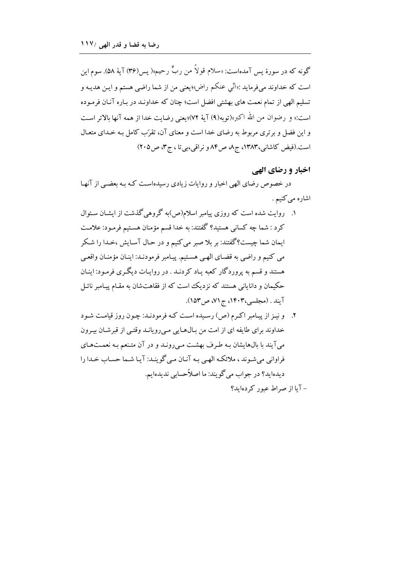گونه که در سورهٔ پس آمدهاست: «سلام قولاً من ربٍّ رحیم»( پس(۳۶) آیۀ ۵۸). سوم این است که خداوند میفرماید :«اُنّی عنکم راض»؛یعنی من از شما راضی هستم و ایـن هدیـه و تسلیم الهی از تمام نعمت های بهشتی افضل است؛ چنان که خداونـد در بـاره آنـان فرمـوده است:« و رضوان من الله اكبر»(توبه(٩) آية ٧٢)؛يعني رضايت خدا از همه آنها بالاتر است و این فضل و برتری مربوط به رضای خدا است و معنای آن، تقرّب کامل بـه خـدای متعـال است.(فیض کاشانی،۱۳۸۳، ج ۸ ص ۸۴ و نراقبی،بی تا ، ج ۳، ص ۲۰۵)

## اخبار و رضای الهی

در خصوص رضای الهی اخبار و روایات زیادی رسیدهاست کـه بـه بعضـی از آنهـا اشاره مي كنيم .

- ۱. روایت شده است که روزی پیامبر اسلام(ص)به گروهی گذشت از ایشـان سـئوال کرد : شما چه کسانی هستید؟ گفتند: به خدا قسم مؤمنان هسـتیم فرمـود: علامـت ایمان شما چست؟گفتند: بر بلا صبر می کنیم و در حیال آسایش ،خیدا را شکر می کنیم و راضی به قضـای الهـی هسـتیم. پیـامبر فرمودنـد: اینـان مؤمنـان واقعـی هستند و قسم به پروردگار کعبه پـاد کردنـد . در روايـات ديگـري فرمـود: اينـان حکیمان و دانایانی هستند که نزدیک است که از فقاهتشان به مقـام پیـامبر نائـل آیند . (مجلسی،۱۴۰۳، ج۷۱) ص۱۵۳).
- ٢. ونيـز از پيـامبر اكـرم (ص) رسـيده اسـت كـه فرمودنـد: چـون روز قيامـت شـود خداوند براي طايفه اي از امت من بـالهـايي مـي رويانـد وقتـي از قبرشـان بيـرون می آیند با بالهایشان بـه طـرف بهشـت مـی رونـد و در آن متـنعم بـه نعمـتهـای فراوانی می شوند ، ملائکه الهے به آنیان مے گو بنید: آیا شیما حساب خیدا را ديدهايد؟ در جواب مي گويند: ما اصلاًحسابي نديدهايم. -آما از صراط عبور کردهاید؟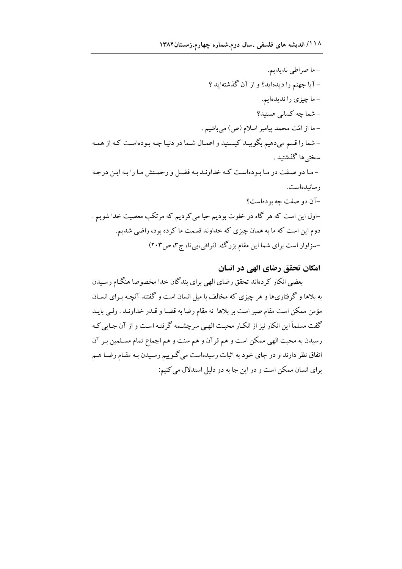## امکان تحقق رضای الهی در انسان

بعضي انكار كردهاند تحقق رضاي الهي براي بندگان خدا مخصوصا هنگـام رسـيدن به بلاها و گرفتاریها و هر چیزی که مخالف با میل انسان است و گفتند آنچه بـرای انسـان مؤمن ممكن است مقام صبر است بر بلاها نه مقام رضا به قضـا و قـدر خداونـد . ولـي بايـد گفت مسلماً این انکار نیز از انکـار محبـت الهـي سرچشـمه گرفتـه اسـت و از آن جـايي کـه رسیدن به محبت الهی ممکن است و هم قرآن و هم سنت و هم اجماع تمام مسـلمین بـر آن اتفاق نظر دارند و در جای خود به اثبات رسیدهاست میگوییم رسـیدن بـه مقـام رضـا هــم برای انسان ممکن است و در این جا به دو دلیل استدلال می کنیم: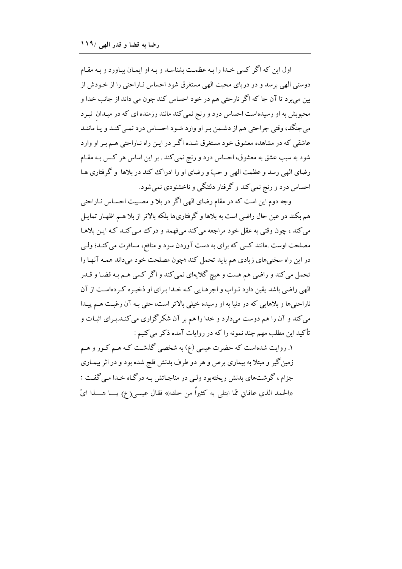اول این که اگر کسی خـدا را بـه عظمـت بشناسـد و بـه او ایمـان بیـاورد و بـه مقـام دوستی الهی برسد و در دریای محبت الهی مستغرق شود احساس نـاراحتی را از خـودش از بین میبرد تا آن جا که اگر نارحتی هم در خود احساس کند چون می داند از جانب خدا و محبوبش به او رسیدهاست احساس درد و رنج نمی کند مانند رزمنده ای که در میـدان نبـرد مي جنگد، وقتي جراحتي هم از دشـمن بـر او وارد شـود احسـاس درد نمـي كنـد و يـا ماننـد عاشقی که در مشاهده معشوق خود مستغرق شـده اگـر در ایـن راه نـاراحتی هـم بـر او وارد شود به سبب عشق به معشوق، احساس درد و رنج نمی کند . بر این اساس هر کـس بـه مقـام رضای الهی رسد و عظمت الهی و حبّ و رضای او را ادراک کند در بلاها و گرفتاری هـا احساس درد و رنج نمی کند و گرفتار دلتنگی و ناخشنودی نمی شود.

وجه دوم این است که در مقام رضای الهی اگر در بلا و مصیبت احسـاس نـاراحتی هم بکند در عین حال راضی است به بلاها و گرفتاریها بلکه بالاتر از بلا هـم اظهـار تمايـل مي كند ، چون وقتي به عقل خود مراجعه مي كند مي فهمد و درك مـي كنـد كـه ايـن بلاهـا مصلحت اوست .مانند کسی که برای به دست آوردن سود و منافع، مسافرت می کنـد؛ ولـی در این راه سختیهای زیادی هم باید تحمل کند ؛چون مصلحت خود میداند همـه آنهـا را تحمل می کند و راضی هم هست و هیچ گلایهای نمی کند و اگر کسی هـم بـه قضـا و قــدر الهی راضی باشد یقین دارد ثـواب و اجرهـایی کـه خـدا بـرای او ذخیـره کـردهاسـت از آن ناراحتیها و بلاهایی که در دنیا به او رسیده خیلی بالاتر است، حتی بـه آن رغبـت هـم پیـدا می کند و آن را هم دوست میدارد و خدا را هم بر آن شکر گزاری می کنـد.بـرای اثبـات و تأکید این مطلب مهم چند نمونه را که در روایات آمده ذکر می کنیم :

۱. روایت شدهاست که حضرت عیسی (ع) به شخصی گذشت کـه هـم کـور و هـم زمین گیر و مبتلا به بیماری برص و هر دو طرف بدنش فلج شده بود و در اثر بیمـاری جزام ، گوشتهای بدنش ریختهبود ولی در مناجاتش به در گـاه خـدا مـی گفـت : «الحمد الذي عافاني ممَّا ابتلي به كثيراً من خلقه» فقال عيسى(ع) يـــا هــــذا ايّ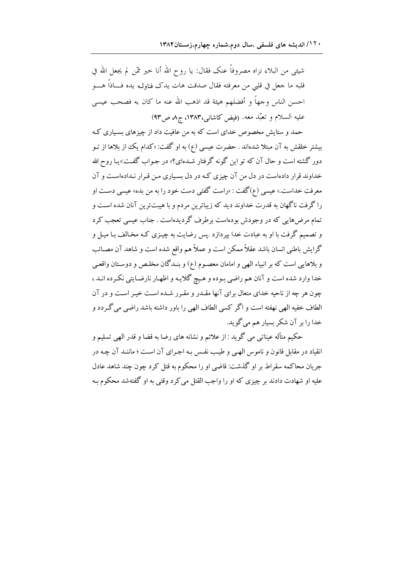شيئي من البلاء نزاه مصروفاً عنک فقال: يا روح الله أنا حير ممّن لم يجعل الله في قلبه ما جعل في قلبي من معرفته فقال صدقت هات يدك فناولـه يده فـــاذاً هــــو احسن الناس وجهاً و أفضلهم هيئة قد اذهب الله عنه ما كان به فصحب عيسى عليه السلام و تعبّد معه. (فيض كاشاني،١٣٨٣، ج٨، ص٩٣)

حمد و ستایش مخصوص خدای است که به من عافیت داد از چیزهای بسـیاری کـه بیشتر خلقش به آن مبتلا شدهاند . حضرت عیسی (ع) به او گفت: «کدام یک از بلاها از تـو دور گشته است و حال آن که تو این گونه گرفتار شـدهای؟» در جـواب گفـت:«یـا روح الله خداوند قرار دادهاست در دل من آن چیزی کـه در دل بسـیاری مـن قـرار نـدادهاسـت و آن معرفت خداست.» عیسی (ع)گفت : «راست گفتی دست خود را به من بده» عیسی دست او را گرفت ناگهان به قدرت خداوند دید که زیباترین مردم و با هیبتترین آنان شده است و تمام مرضهایی که در وجودش بودهاست برطرف گردیدهاست . جناب عیسی تعجب کرد و تصمیم گرفت با او به عبادت خدا بپردازد .پس رضایت به چیـزی کـه مخـالف بـا میـل و گرایش باطنی انسان باشد عقلاً ممکن است و عملاً هم واقع شده است و شاهد آن مصـائب و بلاهایی است که بر انبیاء الهی و امامان معصـوم (ع) و بنـدگان مخلـص و دوسـتان واقعـی خدا وارد شده است و آنان هم راضي بـوده و هـيچ گلايـه و اظهـار نارضـايتي نكـرده انـد ، چون هر چه از ناحیه خدای متعال برای آنها مقـدر و مقـرر شـده اسـت خیـر اسـت و در آن الطاف خفيه الهي نهفته است و اگر كسي الطاف الهي را باور داشته باشد راضي مي گـردد و خدا را بر آن شکر بسیار هم می گوید.

حکيم متأله عيناتي مي گويد : از علائم و نشانه هاي رضا به قضا و قدر الهي تسليم و انقیاد در مقابل قانون و ناموس الهبی و طیب نفس بـه اجـرای آن اسـت ؛ ماننـد آن چـه در جریان محاکمه سقراط بر او گذشت: قاضی او را محکوم به قتل کرد چون چند شاهد عادل عليه او شهادت دادند بر چيزې كه او را واجب القتل مي كړ د وقتي به او گفتهشد محكوم بـه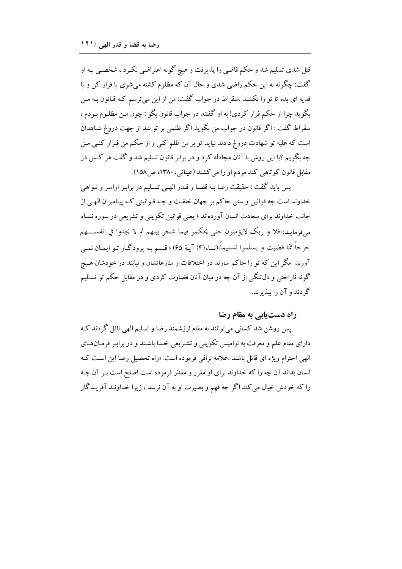قتل شدی تسلیم شد و حکم قاضی را پذیرفت و هیچ گونه اعتراضی نکـرد ، شخصـی بـه او گفت: چگونه به این حکم راضی شدی و حال آن که مظلوم کشته می شوی یا فرار کن و یا فدیه ای بده تا تو را نکشند .سقراط در جواب گفت: من از این میترسم کـه قـانون بـه مـن بگويد چرا از حكم فرار كردي! به او گفتند در جواب قانون بگو : چون مـن مظلـوم بـودم ، سقراط گفت : اگر قانون در جواب من بگويد اگر ظلمي بر تو شد از جهت دروغ شـاهدان است که علیه تو شهادت دروغ دادند نیاید تو بر من ظلم کنی و از حکم من فـرار کنـی مـن چه بگویم ؟با این روش با آنان مجادله کرد و در برابر قانون تسلیم شد و گفت هر کس در مقابل قانون کوتاهی کند مردم او را می کشند.(عیناثی، ۱۳۸۰، ص۱۵۸).

پس بايد گفت : حقيقت رضا بـه قضـا و قــدر الهـي تسـليم در برابـر اوامـر و نــواهي خداوند است چه قوانین و سنن حاکم بر جهان خلقت و چـه قـوانینی کـه پیـامبران الهـی از جانب خداوند برای سعادت انسان آوردهاند ؛ یعنی قوانین تکوینی و تشریعی در سوره نسـاء مي فرمايـد:«فلا و ربك لايؤمنون حتى يحكمو فيما شجر بينهم ثم لا يجدوا في انفســــهم حرجاً ممّا قضيت و يسلموا تسليماً»(نساء(۴) آيـهٔ 68) ؛ قسـم بـه پرودگـار تـو ايمـان نمـي آورند مگر این که تو را حاکم سازند در اختلافات و منازعاتشان و نیابند در خودشان هـیج گونه ناراحتی و دل تنگی از آن چه در میان آنان قضاوت کردی و در مقابل حکم تو تسـلیم گه دند و آن را بیذیرند.

راه دست یابی به مقام رضا

پس روشن شد کسانی می توانند به مقام ارزشمند رضا و تسلیم الهی نائل گردند ک دارای مقام علم و معرفت به نوامیس تکوینی و تشـریعی خـدا باشـند و در برابـر فرمـانهـای الهي احترام ويژه اي قائل باشند .علامه نراقي فرموده است: «راه تحصيل رضا اين است كـه انسان بداند آن چه را که خداوند برای او مقرر و مقدّر فرموده است اصلح است بـر آن چـه را که خودش خیال می کند اگر چه فهم و بصیرت او به آن نرسد ، زیرا خداونـد آفریـدگار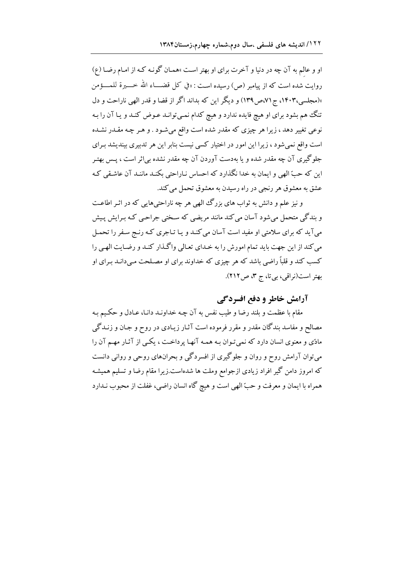او و عالم به آن چه در دنیا و آخرت برای او بهتر است »همـان گونـه کـه از امـام رضـا (ع) روايت شده است كه از پيامبر (ص) رسيده اسـت : «في كل قضــــاء الله خـــــيرة للمـــــؤ من »(مجلسی،۱۴۰۳، ج۷۱ص ۱۳۹) و دیگر این که پداند اگر از قضا و قدر الهی ناراحت و دل تنگ هم بشود براي او هيچ فايده ندارد و هيچ كدام نمبي توانـد عـوض كنـد و يـا آن را بـه نوعی تغییر دهد ، زیرا هر چیزی که مقدر شده است واقع میشود . و هـر چـه مقـدر نشـده است واقع نمی شود ، زیرا این امور در اختیار کسی نیست بنابر این هر تدبیری بیندیشد بـرای جلوگیری آن چه مقدر شده و یا بهدست آوردن آن چه مقدر نشده بی\ثر است ، پــس بهتـر این که حبّ الهی و ایمان به خدا نگذارد که احساس نـاراحتی بکنـد ماننـد آن عاشـقی کـه عشق به معشوق هر رنجي در راه رسيدن به معشوق تحمل مي كند.

و نیز علم و دانش به ثواب های بزرگ الهی هر چه ناراحتی هایی که در اثـر اطاعـت و بندگی متحمل می شود آسان می کند مانند مریضی که سـختی جراحـی کـه بـرایش پـیش می آید که برای سلامتی او مفید است آسان می کنـد و یـا تـاجری کـه رنـج سـفر را تحمـل می کند از این جهت باید تمام امورش را به خـدای تعـالی واگـذار کنـد و رضـایت الهـی را کسب کند و قلباً راضی باشد که هر چیزی که خداوند برای او مصـلحت مـیدانـد بـرای او بهتر است (نراقی، بی تا، ج ٣، ص ٢١٢).

# آرامش خاطر و دفع افسردگی

مقام با عظمت و بلند رضا و طیب نفس به آن چـه خداونـد دانـا، عـادل و حکـیم بـه مصالح و مفاسد بندگان مقدر و مقرر فرموده است آثـار زيـادي در روح و جـان و زنـدگي مادّی و معنوی انسان دارد که نمی تـوان بـه همـه آنهـا پرداخـت ، یکـی از آثـار مهـم آن را می توان آرامش روح و روان و جلوگیری از افسردگی و بحرانهای روحی و روانی دانست که امروز دامن گیر افراد زیادی ازجوامع وملت ها شدهاست.زیرا مقام رضا و تسلیم همیشـه همراه با ایمان و معرفت و حبّ الهی است و هیچ گاه انسان راضی، غفلت از محبوب نـدارد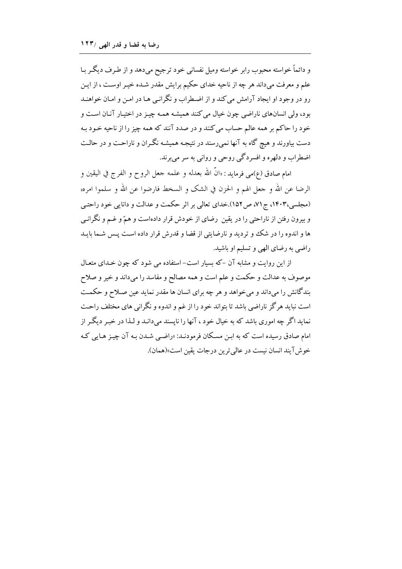و دائماً خواسته محبوب رابر خواسته ومیل نفسانی خود ترجیح میدهد و از طرف دیگر بـا علم و معرفت ميداند هر چه از ناحيه خداي حكيم برايش مقدر شـده خيـر اوسـت ، از ايـن رو در وجود او ایجاد آرامش می کند و از اضطراب و نگرانبی هـا در امـن و امـان خواهنـد بود، ولي انسانهاي ناراضي چون خيال مي كنند هميشـه همـه چيـز در اختيـار آنـان اسـت و خود را حاکم بر همه عالم حساب می کنند و در صدد آنند که همه چیز را از ناحیه خـود بـه دست بیاورند و هیچ گاه به آنها نمی رسند در نتیجـه همیشـه نگـران و ناراحـت و در حالـت اضطراب و دلهره و افسردگي روحي و رواني به سر مي برند.

امام صادق (ع)مي فرمايد : «انَّ الله بعدله و علمه جعل الروح و الفرج في اليقين و الرضا عن الله و جعل الهم و الحزن في الشك و السخط فارضوا عن الله و سلموا امره» (مجلسی،۱۴۰۳، ج۷۱) ص ۱۵۲).خدای تعالی بر اثر حکمت و عدالت و دانایی خود راحتبی و بیرون رفتن از ناراحتی را در یقین رضای از خودش قرار دادهاست و همّ و غــم و نگرانـی ها و اندوه را در شک و تردید و نارضایتی از قضا و قدرش قرار داده است پس شـما بایـد راضی به رضای الهی و تسلیم او باشید.

از این روایت و مشابه آن -که بسیار است-استفاده می شود که چون خـدای متعـال موصوف به عدالت و حکمت و علم است و همه مصالح و مفاسد را میداند و خیر و صلاح بندگانش را میداند و می خواهد و هر چه برای انسان ها مقدر نماید عین صلاح و حکمت است نباید هر گز ناراضی باشد تا بتواند خود را از غم و اندوه و نگرانی های مختلف راحت نماید اگر چه اموری باشد که به خیال خود ، آنها را نایسند می دانـد و لـذا در خبـر دیگـر از امام صادق رسیده است که به ابـِن مسـکان فرمودنـد: «راضـبي شـدن بـه آن چیـِز هـایـي کـه خوش آبند انسان نيست در عالمي ترين درجات يقين است»(همان).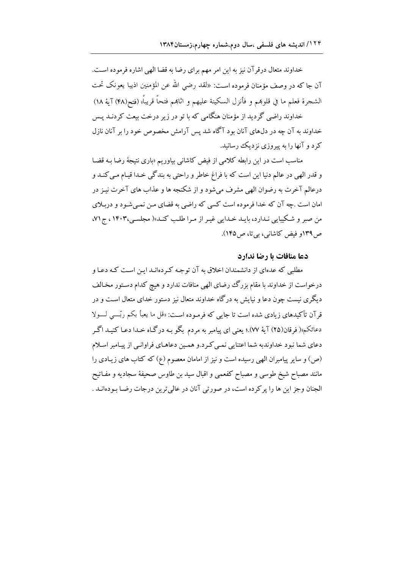خداوند متعال درقر آن نیز به این امر مهم برای رضا به قضا الهی اشاره فرموده است. آن جا که در وصف مؤمنان فرموده است: «لقد رضي الله عن المؤمنين اذيبا يعونک تحت الشجرة فعلم ما في قلوبمم و فأنزل السكينة عليهم و اثابمم فتحاً قريباً» (فتح(۴۸) آية ۱۸)

خداوند راضی گردید از مؤمنان هنگامی که با تو در زیر درخت بیعت کردنـد پـس خداوند به آن چه در دلهای آنان بود آگاه شد پس آرامش مخصوص خود را بر آنان نازل کرد و آنها را به پیروزی نزدیک رسانید.

مناسب است در این رابطه کلامی از فیض کاشانی بیاوریم «باری نتیجهٔ رضا بـه قضـا و قدر الهی در عالم دنیا این است که با فراغ خاطر و راحتی به بندگی خـدا قیـام مـی کنـد و درعالم آخرت به رضوان الهي مشرف مي شود و از شكنجه ها و عذاب هاي آخرت نيـز در امان است .چه آن که خدا فرموده است کسی که راضی به قضای من نمبی شـود و در بـلای من صبر و شکیبایی نـدارد، بایـد خـدایی غیـر از مـرا طلـب کنـد»( مجلسـی،۱۴۰۳، ج۷۱، ص ۱۳۹و فیض کاشانی، بی تا، ص ۱۴۵).

## دعا منافات يا رضا ندارد

مطلبی که عدهای از دانشمندان اخلاق به آن توجـه کـردهانـد ایـن اسـت کـه دعـا و درخواست از خداوند با مقام بزرگ رضای الهی منافات ندارد و هیچ کدام دستور مخـالف دیگری نیست چون دعا و نیایش به درگاه خداوند متعال نیز دستور خدای متعال است و در قرآن تأكيدهاي زيادي شده است تا جاي<sub>د،</sub> كه فرمـوده اسـت: «قل ما يعبأ بكم ربّــي لـــولا دعائکم»( فرقان(۲۵) آیۀ ۷۷).؛ یعنی ای پیامبر به مردم بگو بـه درگـاه خـدا دعـا کنیـد اگـر دعای شما نبود خداوندبه شما اعتنایی نمبی کرد.و همین دعاهـای فراوانـی از پیـامبر اسـلام (ص) و سایر پیامبران الهی رسیده است و نیز از امامان معصوم (ع) که کتاب های زیـادی را مانند مصباح شیخ طوسی و مصباح کفعمی و اقبال سید بن طاوس صحیفهٔ سجادیه و مفـاتیح الجنان وجز اين ها را پر كرده است، در صورتي آنان در عالي ترين درجات رضـًا بـودهانــد .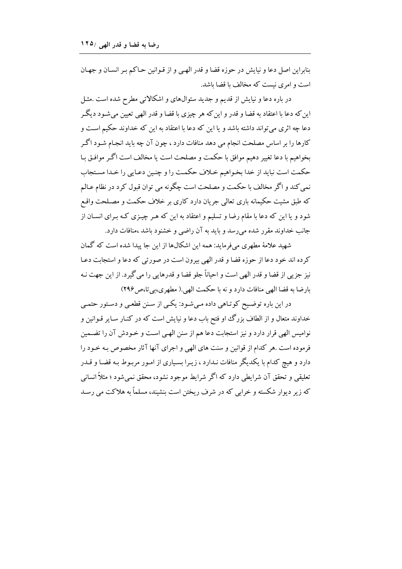بنابراین اصل دعا و نبایش در حوزه قضا و قدر الهبی و از قـوانین حـاکم بـر انسـان و جهـان است و امری نیست که مخالف با قضا باشد.

در باره دعا و نیایش از قدیم و جدید سئوالهای و اشکالاتی مطرح شده است .مثـل این که دعا با اعتقاد به قضا و قدر و این که هر چیزی با قضا و قدر الهی تعیین میشود دیگر دعا چه اثری می تواند داشته باشد و یا این که دعا با اعتقاد به این که خداوند حکیم است و کارها را بر اساس مصلحت انجام می دهد منافات دارد ، چون آن چه باید انجـام شـود اگـر بخواهيم با دعا تغيير دهيم موافق با حكمت و مصلحت است يا مخالف است اگـر موافـق بـا حكمت است نبايد از خدا بخواهيم خلاف حكمت را و چنين دعـايي را خـدا مسـتجاب نمي كند و اگر مخالف با حكمت و مصلحت است چگونه مي توان قبول كرد در نظام عـالم که طبق مشیت حکیمانه باری تعالی جریان دارد کاری بر خلاف حکمت و مصـلحت واقـع شود و یا این که دعا با مقام رضا و تسلیم و اعتقاد به این که هـر چیـزی کـه بـرای انسـان از جانب خداوند مقرر شده می رسد و باید به آن راضی و خشنود باشد ،منافات دارد.

شهید علامهٔ مطهری می فرماید: همه این اشکالها از این جا پیدا شده است که گمان كرده اند خود دعا از حوزه قضا و قدر الهي بيرون است در صورتي كه دعا و استجابت دعـا نيز جزيي از قضا و قدر الهي است و احياناً جلو قضا و قدرهايي را مي گير د. از اين جهت نـه بارضا به قضا الهي منافات دارد و نه با حكمت الهي.( مطهري،بي تا،ص ٢٩۶)

در این باره توضیح کوتـاهی داده مـی.شـود: یکـی از سـنن قطعـی و دسـتور حتمـی خداوند متعال و از الطاف بزرگ او فتح باب دعا و نیایش است که در کنـار سـایر قـوانین و نوامیس الهی قرار دارد و نیز استجابت دعا هم از سنن الهی است و خـودش آن را تضـمین فرموده است .هر كدام از قوانين و سنت هاي الهي و اجراي آنها آثار مخصوص بـه خـود را دارد و هیچ کدام با یکدیگر منافات نـدارد ، زیـرا بسـیاری از امـور مربـوط بـه قضـا و قـدر تعليقي و تحقق آن شرايطي دارد كه اگر شرايط موجود نشود، محقق نمي شود ؛ مثلاً انساني که زیر دیوار شکسته و خرابی که در شرف ریختن است بنشیند، مسلماً به هلاکت می رسـد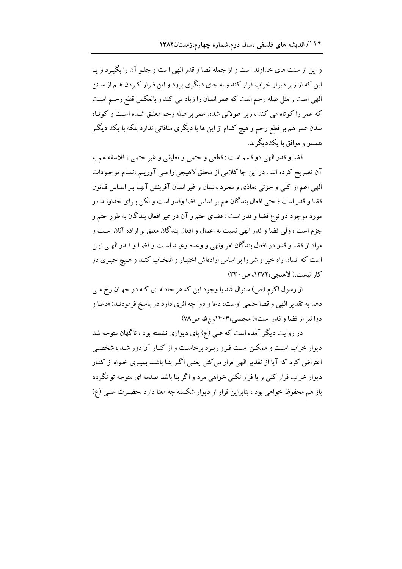و این از سنت های خداوند است و از جمله قضا و قدر الهی است و جلـو آن را بگیـرد و یـا این که از زیر دیوار خراب فرار کند و به جای دیگری برود و این فـرار کـردن هـم از سـنن الهي است و مثل صله رحم است كه عمر انسان را زياد مي كند و بالعكس قطع رحـم اسـت که عمر را کوتاه می کند ، زیرا طولانی شدن عمر بر صله رحم معلـق شـده اسـت و کوتـاه شدن عمر هم بر قطع رحم و هیچ کدام از این ها با دیگری منافاتی ندارد بلکه با یک دیگـر همسو و موافق با یک دیگرند.

قضا و قدر الهي دو قسم است : قطعي و حتمي و تعليقي و غير حتمي ، فلاسفه هم به آن تصریح کرده اند . در این جا کلامی از محقق لاهیجی را مـی آوریـم :تمـام موجـودات الهي اعم از كلي و جزئي ،مادّي و مجرد ،انسان و غير انسان آفرينش آنهـا بـر اسـاس قـانون قضا و قدر است ؛ حتى افعال بندگان هم بر اساس قضا وقدر است و لكن بـراي خداونـد در مورد موجود دو نوع قضا و قدر است : قضاي حتم و آن در غير افعال بندگان به طور حتم و جزم است ، ولي قضا و قدر الهي نسبت به اعمال و افعال بندگان معلق بر اراده آنان است و مراد از قضا و قدر در افعال بندگان امر ونهي و وعده وعيـد اسـت و قضـا و قـدر الهـي ايـن است که انسان راه خیر و شر را بر اساس ارادهاش اختیـار و انتخـاب کنـد و هـیچ جبـری در کار نیست.( لاهیجی، ۱۳۷۲، ص۳۳۰)

از رسول اکرم (ص) سئوال شد با وجود این که هر حادثه ای کـه در جهـان رخ مـی دهد به تقدير الهي و قضا حتمي اوست، دعا و دوا چه اثري دارد در پاسخ فرمودنـد: «دعـا و دوا نیز از قضا و قدر است»( مجلسی،۱۴۰۳،ج۵، ص۷۸)

در روایت دیگر آمده است که علی (ع) پای دیواری نشسته بود ، ناگهان متوجه شد دیوار خراب است و ممکن است فرو ریزد برخاست و از کنـار آن دور شـد ، شخصـی اعتراض کرد که آیا از تقدیر الهی فرار می کنی یعنبی اگـر بنـا باشـد بمیـری خـواه از کنـار دیوار خراب فرار کنی و یا فرار نکنی خواهی مرد و اگر بنا باشد صدمه ای متوجه تو نگردد باز هم محفوظ خواهی بود ، بنابراین فرار از دیوار شکسته چه معنا دارد .حضـرت علـی (ع)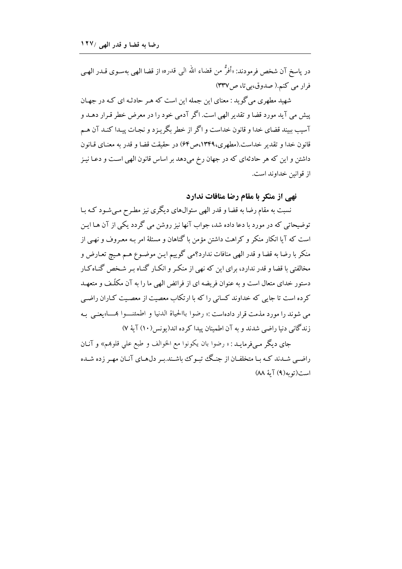در ياسخ آن شخص فرمودند: «أفرُّ من قضاء الله البي قدره» از قضا الهي بهسـوى قــدر الهـي فراد می کنم.( صدوق،پی تا، ص۳۳۷)

شهید مطهری می گو بد : معنای این جمله این است که هـر حادثـه ای کـه در جهـان پیش می آید مورد قضا و تقدیر الهی است. اگر آدمی خود را در معرض خطر قبرار دهـد و آسيب ببيند قضاي خدا و قانون خداست و اگر از خطر بگريـزد و نجـات پيـدا كنـد آن هـم قانون خدا و تقدير خداست.(مطهري،١٣۴٩،ص ۶۴) در حقيقت قضا و قدر به معنـاي قـانون داشتن و این که هر حادثهای که در جهان رخ میدهد بر اساس قانون الهی است و دعـا نیـز از قوانين خداوند است.

نهے از منکر با مقام رضا منافات ندارد

نسبت به مقام رضا به قضا و قدر الهی سئوالهای دیگری نیز مطرح مبی شود کـه بـا توضیحاتی که در مورد با دعا داده شد، جواب آنها نیز روشن می گردد یکی از آن هـا ایـن است که آیا انکار منکر و کراهت داشتن مؤمن با گناهان و مسئلهٔ امر بـه معـروف و نهـی از منكر با رضا به قضا و قدر الهي منافات ندارد؟مي گوييم ايـن موضـوع هـم هـيچ تعـارض و مخالفتی با قضا و قدر ندارد، برای این که نهی از منکر و انکـار گنـاه بـر شـخص گنـاه کـار دستور خدای متعال است و به عنوان فریضه ای از فرائض الهی ما را به آن مکلّف و متعهـد کرده است تا جایی که خداوند کسانی را که با ارتکاب معصیت از معصیت کـاران راضـی مي شوند را مورد مذمت قرار دادهاست :« رضوا باالحياة الدنيا و اطمئنــوا بِحـــا» يعنـي بـه زندگانی دنیا راضی شدند و به آن اطمینان پیدا کرده اند(یونس/ ۱۰) آیهٔ ۷)

جاي ديگر مبي فرمايـد : « رضوا بان يكونوا مع الخوالف و طبع علي قلوهم» و آنـان راضیے شیدند کیه یا متخلفیان از جنگک تب کک باشیند.پ دل(هیای آنیان مهیر زده شیده است(تو به (۹) آية ٨٨)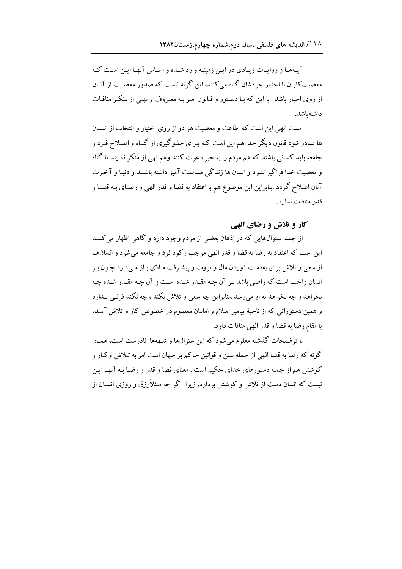آیـههـا و روایـات زیـادی در ایـن زمینـه وارد شـده و اسـاس آنهـا ایـن اسـت کـه معصیت کاران با اختیار خودشان گناه می کنند، این گونه نیست که صدور معصـیت از آنـان از روی اجبار باشد . با این که بـا دسـتور و قـانون امـر بـه معـروف و نهـی از منکـر منافـات داشتەباشد.

سنت الهي اين است كه اطاعت و معصيت هر دو از روى اختيار و انتخاب از انسـان ها صادر شود قانون دیگر خدا هم این است کـه بـرای جلـوگیری از گنـاه و اصـلاح فـرد و جامعه باید کسانی باشند که هم مردم را به خیر دعوت کنند وهم نهی از منکر نمایند تا گناه و معصیت خدا فراگیر نشود و انسان ها زندگی مسالمت آمیز داشته باشند و دنیـا و آخـرت آنان اصلاح گردد .بنابراین این موضوع هم با اعتقاد به قضا و قدر الهی و رضـای بـه قضـا و قدر منافات ندارد.

## کار و تلاش و رضای الهی

از جمله سئوال $\epsilon$ ایی که در اذهان بعضی از مردم وجود دارد و گاهی اظهار می کننـد این است که اعتقاد به رضا به قضا و قدر الهی موجب رکود فرد و جامعه می شود و انسان ها از سعی و تلاش برای بهدست آوردن مال و ثروت و پیشـرفت مـادّی بـاز مـی دارد چـون بـر انسان واجب است كه راضي باشد بـر آن چـه مقـدر شـده اسـت و آن چـه مقـدر شـده چـه بخواهد و چه نخواهد به او میرسد ،بنابراین چه سعی و تلاش بکند ، چه نکند فرقبی نـدارد و همین دستوراتی که از ناحیهٔ پیامبر اسلام و امامان معصوم در خصوص کار و تلاش آمـده با مقام رضا به قضا و قدر الهی منافات دارد.

با توضیحات گذشته معلوم می شود که این سئوالها و شبههها نادرست است، همـان گونه که رضا به قضا الهی از جمله سنن و قوانین حاکم بر جهان است امر به تـلاش وکـار و کوشش هم از جمله دستورهای خدای حکیم است . معنای قضا و قدر و رضـا بـه آنهـا ایـن نیست که انسان دست از تلاش و کوشش بردارد، زیرا اگر چه مـثلاًرزق و روزی انســان از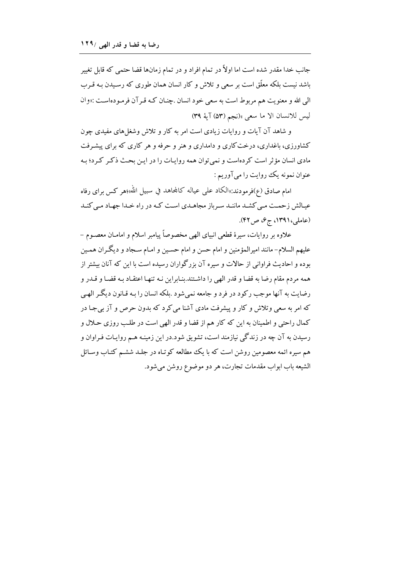جانب خدا مقدر شده است اما اولاً در تمام افراد و در تمام زمانها قضا حتمی که قابل تغییر باشد نیست بلکه معلّق است بر سعی و تلاش و کار انسان همان طوری که رسـیدن بـه قـرب الي الله و معنويت هم مربوط است به سعي خود انسان .چنـان كـه قـرآن فرمـودهاسـت :«وان ليس للانسان الا ما سعى »(نجم (٥٣) آية ٣٩)

و شاهد آن آیات و روایات زیادی است امر به کار و تلاش وشغلهای مفیدی چون کشاورزی، باغداری، درخت کاری و دامداری و هنر و حرفه و هر کاری که برای پیشرفت مادي انسان مؤثر است كردهاست و نمي توان همه روايات را در اين بحث ذكر كرد؛ بـه عنوان نمونه يک روايت را ميآوريم :

امام صادق (ع)فرمودند:«الكاد على عياله كالمحاهد في سبيل الله»؛هر كس براي رفاه عیـالش زحمـت مـی کشـد ماننـد سـرباز مجاهـدی اسـت کـه در راه خـدا جهـاد مـی کنـد (عاملی،۱۳۹۱، ج۶، ص۴۲).

علاوه بر روايات، سيرة قطعي انبياي الهي مخصوصاً ييامبر اسلام و امامـان معصـوم – عليهم السلام– مانند اميرالمؤمنين و امام حسن و امام حسـين و امـام سـجاد و ديگـران همـين بوده و احادیث فراوانی از حالات و سیره آن بزرگواران رسیده است با این که آنان بیشتر از همه مردم مقام رضا به قضا و قدر الهي را داشـتند.بنـابراين نـه تنهـا اعتقـاد بـه قضـا و قـدر و رضایت به آنها موجب رکود در فرد و جامعه نمیشود .بلکه انسان را بـه قـانون دیگـر الهـی که امر به سعی وتلاش و کار و پیشرفت مادی آشنا می کرد که بدون حرص و آز بی جـا در کمال راحتی و اطمینان به این که کار هم از قضا و قدر الهی است در طلب روزی حـلال و رسیدن به آن چه در زندگی نیازمند است، تشویق شود.در این زمینـه هـم روایـات فـراوان و هم سیره ائمه معصومین روشن است که با یک مطالعه کوتـاه در جلـد ششـم کتـاب وسـائل الشيعه باب ابواب مقدمات تجارت، هر دو موضوع روشن مي شود.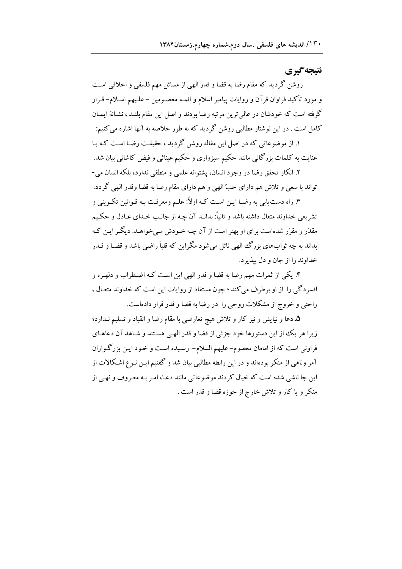# نتىجەگىرى

روشن گردید که مقام رضا به قضا و قدر الهی از مسائل مهم فلسفی و اخلاقی است و مورد تأکید فراوان قرآن و روایات پیامبر اسلام و ائمـه معصـومین –علـیهم اسـلام–قـرار گرفته است که خودشان در عالمي ترين مرتبه رضا بودند و اصل اين مقام بلنـد ، نشـانهٔ ايمـان کامل است . در این نوشتار مطالبی روشن گردید که به طور خلاصه به آنها اشاره می کنیم:

۱. از موضوعاتی که در اصل این مقاله روشن گردید ، حقیقت رضـا اسـت کـه بـا عنایت به کلمات بزرگانی مانند حکیم سبزواری و حکیم عیناثی و فیض کاشانی بیان شد.

۲. انکار تحقق رضا در وجود انسان، پشتوانه علمی و منطقی ندارد، بلکه انسان می-تواند با سعی و تلاش هم دارای حبّ الهی و هم دارای مقام رضا به قضا وقدر الهی گردد.

۳. راه دست پایی به رضـا ایـن اسـت کـه اولاً: علـم ومعرفـت بـه قـوانین تکـوینی و تشریعی خداوند متعال داشته باشد و ثانیاً: بدانـد آن چـه از جانـب خـدای عـادل و حکـیم مقدّر و مقرّر شدهاست برای او بهتر است از آن چـه خـودش مـی خواهـد. دیگـر ایـن کـه بداند به چه ثوابهاي بزرگ الهي نائل مي شود مگراين كه قلباً راضي باشد و قضـا و قــدر خداوند را از جان و دل بيذير د.

۴. یکی از ثمرات مهم رضا به قضا و قدر الهی این است کـه اضـطراب و دلهـره و افسردگی را از او برطرف می کند ؛ چون مستفاد از روایات این است که خداوند متعـال ، راحتی و خروج از مشکلات روحی را در رضا به قضا و قدر قرار دادهاست.

۵. دعا و نیایش و نیز کار و تلاش هیچ تعارضی با مقام رضا و انقیاد و تسلیم نـدارد؛ زیرا هر یک از این دستورها خود جزئی از قضا و قدر الهـی هسـتند و شـاهد آن دعاهـای فراونی است که از امامان معصوم–علیهم السلام– رسـیده اسـت و خـود ایـن بزرگـواران آمر وناهی از منکر بودهاند و در این رابطه مطالبی بیان شد و گفتیم ایـن نـوع اشـکالات از این جا ناشی شده است که خیال کردند موضوعاتی مانند دعـا، امـر بـه معـروف و نهـی از منكر و يا كار و تلاش خارج از حوزه قضا و قدر است .